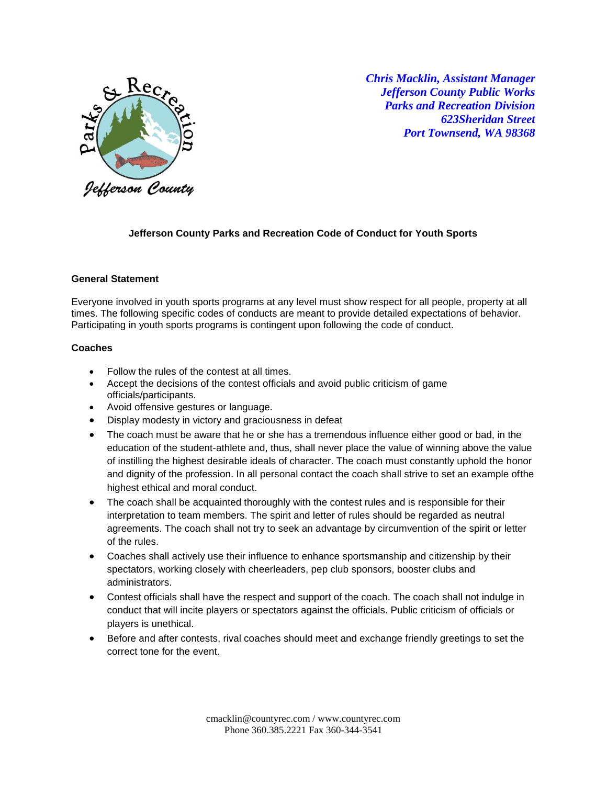

*Chris Macklin, Assistant Manager Jefferson County Public Works Parks and Recreation Division 623Sheridan Street Port Townsend, WA 98368*

## **Jefferson County Parks and Recreation Code of Conduct for Youth Sports**

### **General Statement**

Everyone involved in youth sports programs at any level must show respect for all people, property at all times. The following specific codes of conducts are meant to provide detailed expectations of behavior. Participating in youth sports programs is contingent upon following the code of conduct.

#### **Coaches**

- Follow the rules of the contest at all times.
- Accept the decisions of the contest officials and avoid public criticism of game officials/participants.
- Avoid offensive gestures or language.
- Display modesty in victory and graciousness in defeat
- The coach must be aware that he or she has a tremendous influence either good or bad, in the education of the student-athlete and, thus, shall never place the value of winning above the value of instilling the highest desirable ideals of character. The coach must constantly uphold the honor and dignity of the profession. In all personal contact the coach shall strive to set an example ofthe highest ethical and moral conduct.
- The coach shall be acquainted thoroughly with the contest rules and is responsible for their interpretation to team members. The spirit and letter of rules should be regarded as neutral agreements. The coach shall not try to seek an advantage by circumvention of the spirit or letter of the rules.
- Coaches shall actively use their influence to enhance sportsmanship and citizenship by their spectators, working closely with cheerleaders, pep club sponsors, booster clubs and administrators.
- Contest officials shall have the respect and support of the coach. The coach shall not indulge in conduct that will incite players or spectators against the officials. Public criticism of officials or players is unethical.
- Before and after contests, rival coaches should meet and exchange friendly greetings to set the correct tone for the event.